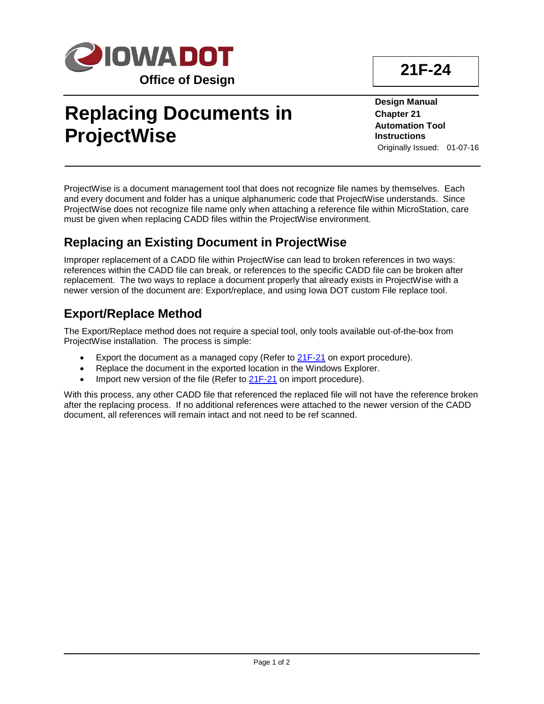

# **Replacing Documents in ProjectWise**

**Design Manual Chapter 21 Automation Tool Instructions** Originally Issued: 01-07-16

ProjectWise is a document management tool that does not recognize file names by themselves. Each and every document and folder has a unique alphanumeric code that ProjectWise understands. Since ProjectWise does not recognize file name only when attaching a reference file within MicroStation, care must be given when replacing CADD files within the ProjectWise environment.

### **Replacing an Existing Document in ProjectWise**

Improper replacement of a CADD file within ProjectWise can lead to broken references in two ways: references within the CADD file can break, or references to the specific CADD file can be broken after replacement. The two ways to replace a document properly that already exists in ProjectWise with a newer version of the document are: Export/replace, and using Iowa DOT custom File replace tool.

### **Export/Replace Method**

The Export/Replace method does not require a special tool, only tools available out-of-the-box from ProjectWise installation. The process is simple:

- Export the document as a managed copy (Refer to 21F-21 on export procedure).
- Replace the document in the exported location in the Windows Explorer.
- Import new version of the file (Refer to 21F-21 on import procedure).

With this process, any other CADD file that referenced the replaced file will not have the reference broken after the replacing process. If no additional references were attached to the newer version of the CADD document, all references will remain intact and not need to be ref scanned.

## **21F-24**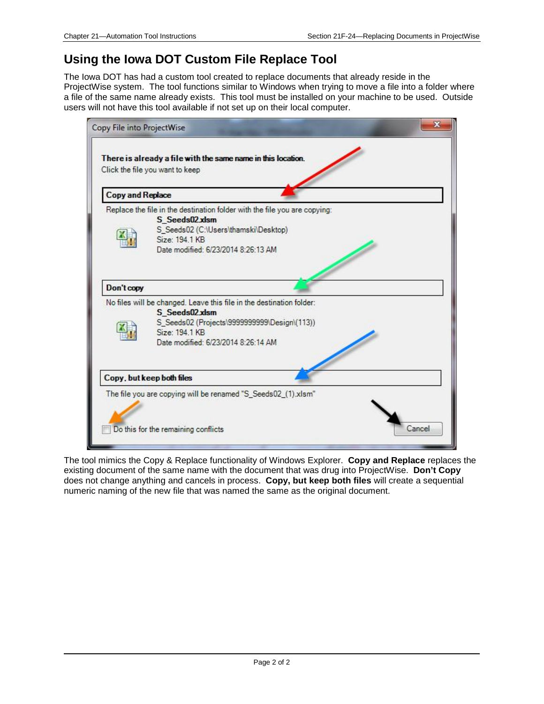#### **Using the Iowa DOT Custom File Replace Tool**

The Iowa DOT has had a custom tool created to replace documents that already reside in the ProjectWise system. The tool functions similar to Windows when trying to move a file into a folder where a file of the same name already exists. This tool must be installed on your machine to be used. Outside users will not have this tool available if not set up on their local computer.



The tool mimics the Copy & Replace functionality of Windows Explorer. **Copy and Replace** replaces the existing document of the same name with the document that was drug into ProjectWise. **Don't Copy** does not change anything and cancels in process. **Copy, but keep both files** will create a sequential numeric naming of the new file that was named the same as the original document.